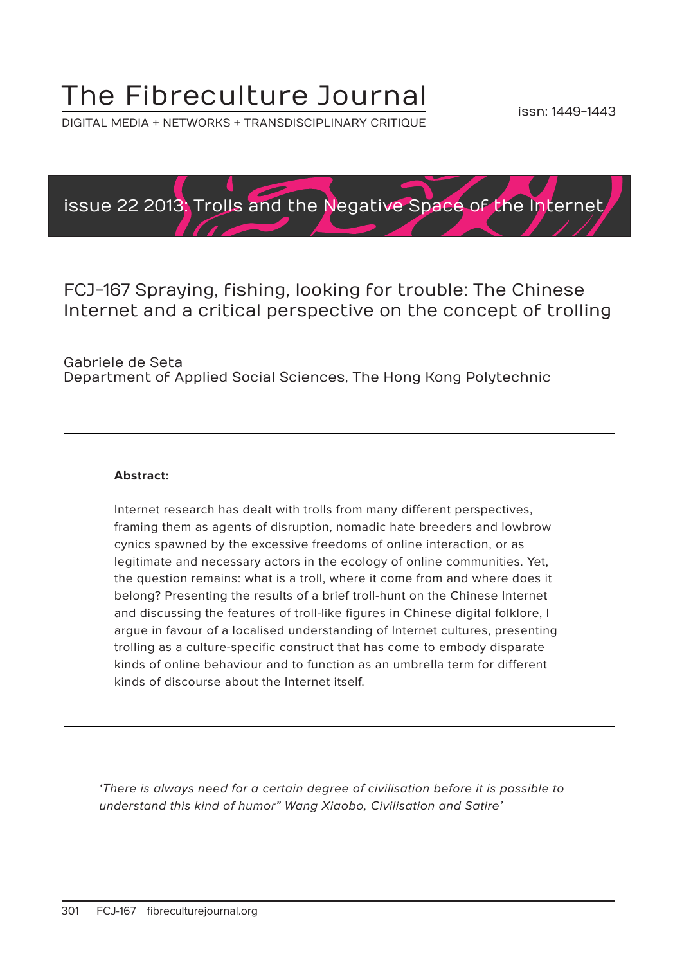# The Fibreculture Journal

DIGITAL MEDIA + NETWORKS + TRANSDISCIPLINARY CRITIQUE



FCJ-167 Spraying, fishing, looking for trouble: The Chinese Internet and a critical perspective on the concept of trolling

Gabriele de Seta Department of Applied Social Sciences, The Hong Kong Polytechnic

#### **Abstract:**

Internet research has dealt with trolls from many different perspectives, framing them as agents of disruption, nomadic hate breeders and lowbrow cynics spawned by the excessive freedoms of online interaction, or as legitimate and necessary actors in the ecology of online communities. Yet, the question remains: what is a troll, where it come from and where does it belong? Presenting the results of a brief troll-hunt on the Chinese Internet and discussing the features of troll-like figures in Chinese digital folklore, I argue in favour of a localised understanding of Internet cultures, presenting trolling as a culture-specific construct that has come to embody disparate kinds of online behaviour and to function as an umbrella term for different kinds of discourse about the Internet itself.

'There is always need for a certain degree of civilisation before it is possible to understand this kind of humor" Wang Xiaobo, Civilisation and Satire'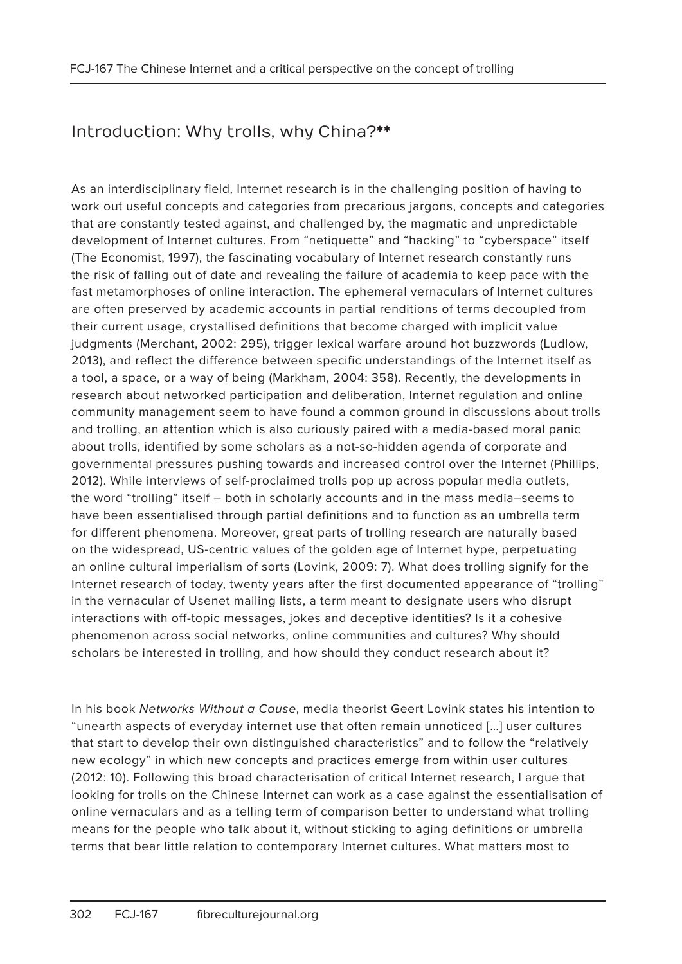## Introduction: Why trolls, why China?\*\*

As an interdisciplinary field, Internet research is in the challenging position of having to work out useful concepts and categories from precarious jargons, concepts and categories that are constantly tested against, and challenged by, the magmatic and unpredictable development of Internet cultures. From "netiquette" and "hacking" to "cyberspace" itself (The Economist, 1997), the fascinating vocabulary of Internet research constantly runs the risk of falling out of date and revealing the failure of academia to keep pace with the fast metamorphoses of online interaction. The ephemeral vernaculars of Internet cultures are often preserved by academic accounts in partial renditions of terms decoupled from their current usage, crystallised definitions that become charged with implicit value judgments (Merchant, 2002: 295), trigger lexical warfare around hot buzzwords (Ludlow, 2013), and reflect the difference between specific understandings of the Internet itself as a tool, a space, or a way of being (Markham, 2004: 358). Recently, the developments in research about networked participation and deliberation, Internet regulation and online community management seem to have found a common ground in discussions about trolls and trolling, an attention which is also curiously paired with a media-based moral panic about trolls, identified by some scholars as a not-so-hidden agenda of corporate and governmental pressures pushing towards and increased control over the Internet (Phillips, 2012). While interviews of self-proclaimed trolls pop up across popular media outlets, the word "trolling" itself – both in scholarly accounts and in the mass media–seems to have been essentialised through partial definitions and to function as an umbrella term for different phenomena. Moreover, great parts of trolling research are naturally based on the widespread, US-centric values of the golden age of Internet hype, perpetuating an online cultural imperialism of sorts (Lovink, 2009: 7). What does trolling signify for the Internet research of today, twenty years after the first documented appearance of "trolling" in the vernacular of Usenet mailing lists, a term meant to designate users who disrupt interactions with off-topic messages, jokes and deceptive identities? Is it a cohesive phenomenon across social networks, online communities and cultures? Why should scholars be interested in trolling, and how should they conduct research about it?

In his book Networks Without a Cause, media theorist Geert Lovink states his intention to "unearth aspects of everyday internet use that often remain unnoticed […] user cultures that start to develop their own distinguished characteristics" and to follow the "relatively new ecology" in which new concepts and practices emerge from within user cultures (2012: 10). Following this broad characterisation of critical Internet research, I argue that looking for trolls on the Chinese Internet can work as a case against the essentialisation of online vernaculars and as a telling term of comparison better to understand what trolling means for the people who talk about it, without sticking to aging definitions or umbrella terms that bear little relation to contemporary Internet cultures. What matters most to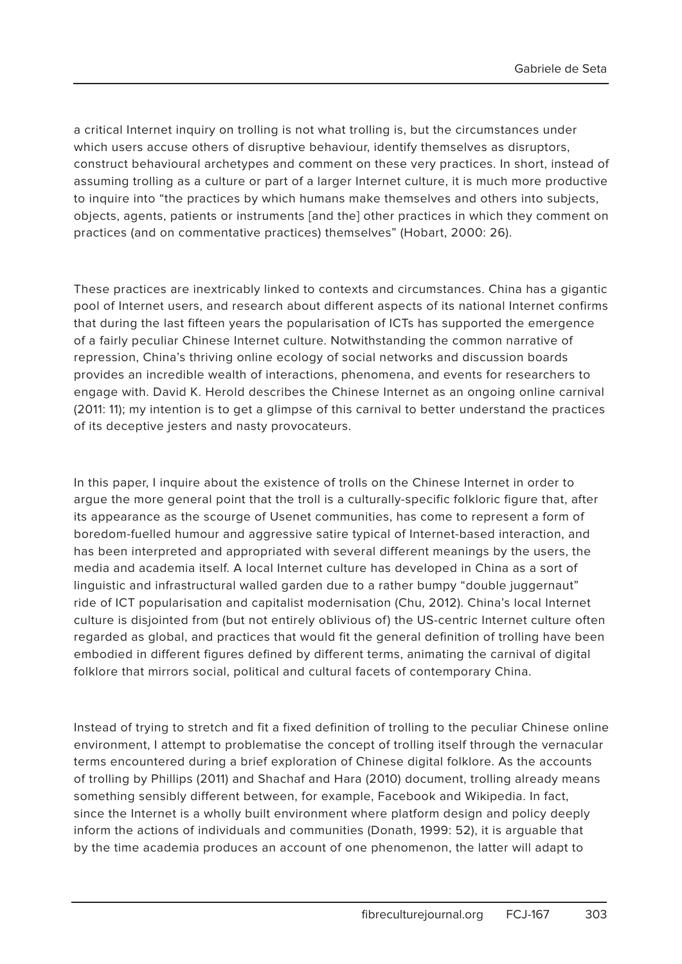a critical Internet inquiry on trolling is not what trolling is, but the circumstances under which users accuse others of disruptive behaviour, identify themselves as disruptors, construct behavioural archetypes and comment on these very practices. In short, instead of assuming trolling as a culture or part of a larger Internet culture, it is much more productive to inquire into "the practices by which humans make themselves and others into subjects, objects, agents, patients or instruments [and the] other practices in which they comment on practices (and on commentative practices) themselves" (Hobart, 2000: 26).

These practices are inextricably linked to contexts and circumstances. China has a gigantic pool of Internet users, and research about different aspects of its national Internet confirms that during the last fifteen years the popularisation of ICTs has supported the emergence of a fairly peculiar Chinese Internet culture. Notwithstanding the common narrative of repression, China's thriving online ecology of social networks and discussion boards provides an incredible wealth of interactions, phenomena, and events for researchers to engage with. David K. Herold describes the Chinese Internet as an ongoing online carnival (2011: 11); my intention is to get a glimpse of this carnival to better understand the practices of its deceptive jesters and nasty provocateurs.

In this paper, I inquire about the existence of trolls on the Chinese Internet in order to argue the more general point that the troll is a culturally-specific folkloric figure that, after its appearance as the scourge of Usenet communities, has come to represent a form of boredom-fuelled humour and aggressive satire typical of Internet-based interaction, and has been interpreted and appropriated with several different meanings by the users, the media and academia itself. A local Internet culture has developed in China as a sort of linguistic and infrastructural walled garden due to a rather bumpy "double juggernaut" ride of ICT popularisation and capitalist modernisation (Chu, 2012). China's local Internet culture is disjointed from (but not entirely oblivious of) the US-centric Internet culture often regarded as global, and practices that would fit the general definition of trolling have been embodied in different figures defined by different terms, animating the carnival of digital folklore that mirrors social, political and cultural facets of contemporary China.

Instead of trying to stretch and fit a fixed definition of trolling to the peculiar Chinese online environment, I attempt to problematise the concept of trolling itself through the vernacular terms encountered during a brief exploration of Chinese digital folklore. As the accounts of trolling by Phillips (2011) and Shachaf and Hara (2010) document, trolling already means something sensibly different between, for example, Facebook and Wikipedia. In fact, since the Internet is a wholly built environment where platform design and policy deeply inform the actions of individuals and communities (Donath, 1999: 52), it is arguable that by the time academia produces an account of one phenomenon, the latter will adapt to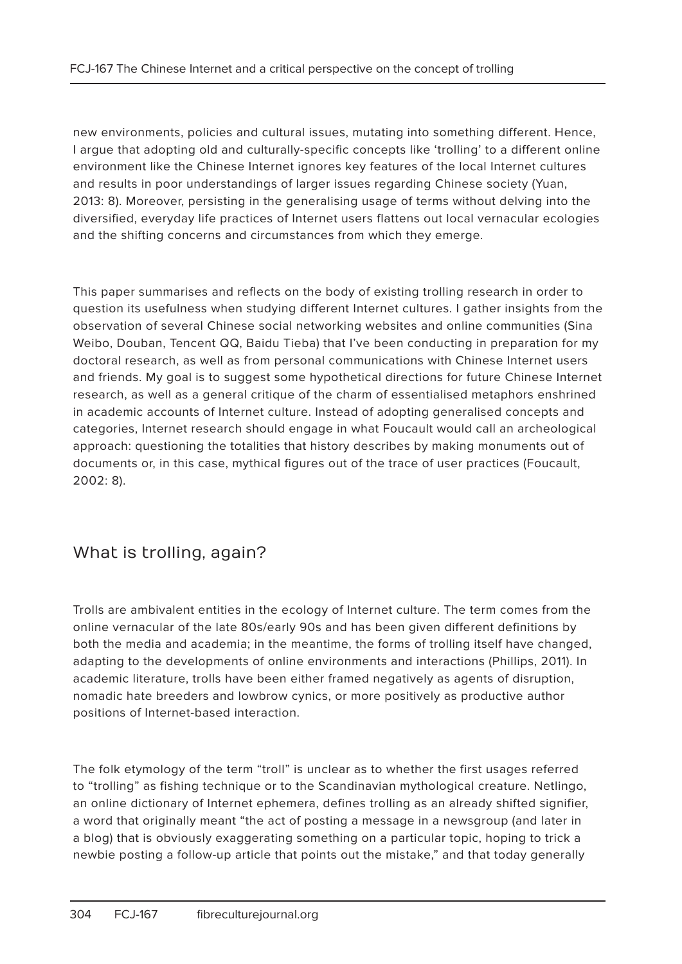new environments, policies and cultural issues, mutating into something different. Hence, I argue that adopting old and culturally-specific concepts like 'trolling' to a different online environment like the Chinese Internet ignores key features of the local Internet cultures and results in poor understandings of larger issues regarding Chinese society (Yuan, 2013: 8). Moreover, persisting in the generalising usage of terms without delving into the diversified, everyday life practices of Internet users flattens out local vernacular ecologies and the shifting concerns and circumstances from which they emerge.

This paper summarises and reflects on the body of existing trolling research in order to question its usefulness when studying different Internet cultures. I gather insights from the observation of several Chinese social networking websites and online communities (Sina Weibo, Douban, Tencent QQ, Baidu Tieba) that I've been conducting in preparation for my doctoral research, as well as from personal communications with Chinese Internet users and friends. My goal is to suggest some hypothetical directions for future Chinese Internet research, as well as a general critique of the charm of essentialised metaphors enshrined in academic accounts of Internet culture. Instead of adopting generalised concepts and categories, Internet research should engage in what Foucault would call an archeological approach: questioning the totalities that history describes by making monuments out of documents or, in this case, mythical figures out of the trace of user practices (Foucault, 2002: 8).

### What is trolling, again?

Trolls are ambivalent entities in the ecology of Internet culture. The term comes from the online vernacular of the late 80s/early 90s and has been given different definitions by both the media and academia; in the meantime, the forms of trolling itself have changed, adapting to the developments of online environments and interactions (Phillips, 2011). In academic literature, trolls have been either framed negatively as agents of disruption, nomadic hate breeders and lowbrow cynics, or more positively as productive author positions of Internet-based interaction.

The folk etymology of the term "troll" is unclear as to whether the first usages referred to "trolling" as fishing technique or to the Scandinavian mythological creature. Netlingo, an online dictionary of Internet ephemera, defines trolling as an already shifted signifier, a word that originally meant "the act of posting a message in a newsgroup (and later in a blog) that is obviously exaggerating something on a particular topic, hoping to trick a newbie posting a follow-up article that points out the mistake," and that today generally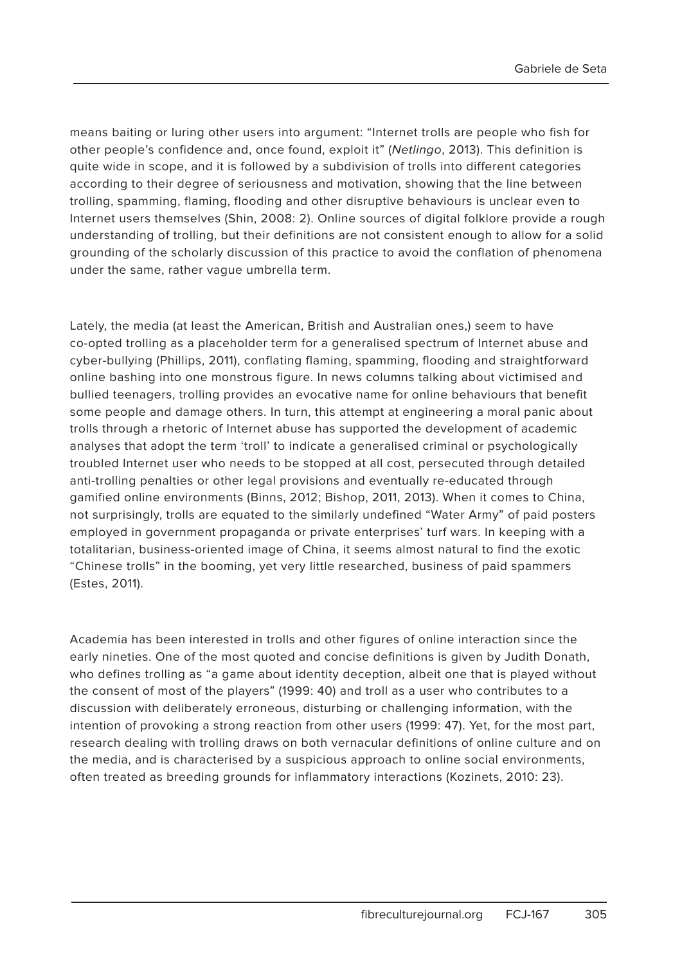means baiting or luring other users into argument: "Internet trolls are people who fish for other people's confidence and, once found, exploit it" (Netlingo, 2013). This definition is quite wide in scope, and it is followed by a subdivision of trolls into different categories according to their degree of seriousness and motivation, showing that the line between trolling, spamming, flaming, flooding and other disruptive behaviours is unclear even to Internet users themselves (Shin, 2008: 2). Online sources of digital folklore provide a rough understanding of trolling, but their definitions are not consistent enough to allow for a solid grounding of the scholarly discussion of this practice to avoid the conflation of phenomena under the same, rather vague umbrella term.

Lately, the media (at least the American, British and Australian ones,) seem to have co-opted trolling as a placeholder term for a generalised spectrum of Internet abuse and cyber-bullying (Phillips, 2011), conflating flaming, spamming, flooding and straightforward online bashing into one monstrous figure. In news columns talking about victimised and bullied teenagers, trolling provides an evocative name for online behaviours that benefit some people and damage others. In turn, this attempt at engineering a moral panic about trolls through a rhetoric of Internet abuse has supported the development of academic analyses that adopt the term 'troll' to indicate a generalised criminal or psychologically troubled Internet user who needs to be stopped at all cost, persecuted through detailed anti-trolling penalties or other legal provisions and eventually re-educated through gamified online environments (Binns, 2012; Bishop, 2011, 2013). When it comes to China, not surprisingly, trolls are equated to the similarly undefined "Water Army" of paid posters employed in government propaganda or private enterprises' turf wars. In keeping with a totalitarian, business-oriented image of China, it seems almost natural to find the exotic "Chinese trolls" in the booming, yet very little researched, business of paid spammers (Estes, 2011).

Academia has been interested in trolls and other figures of online interaction since the early nineties. One of the most quoted and concise definitions is given by Judith Donath, who defines trolling as "a game about identity deception, albeit one that is played without the consent of most of the players" (1999: 40) and troll as a user who contributes to a discussion with deliberately erroneous, disturbing or challenging information, with the intention of provoking a strong reaction from other users (1999: 47). Yet, for the most part, research dealing with trolling draws on both vernacular definitions of online culture and on the media, and is characterised by a suspicious approach to online social environments, often treated as breeding grounds for inflammatory interactions (Kozinets, 2010: 23).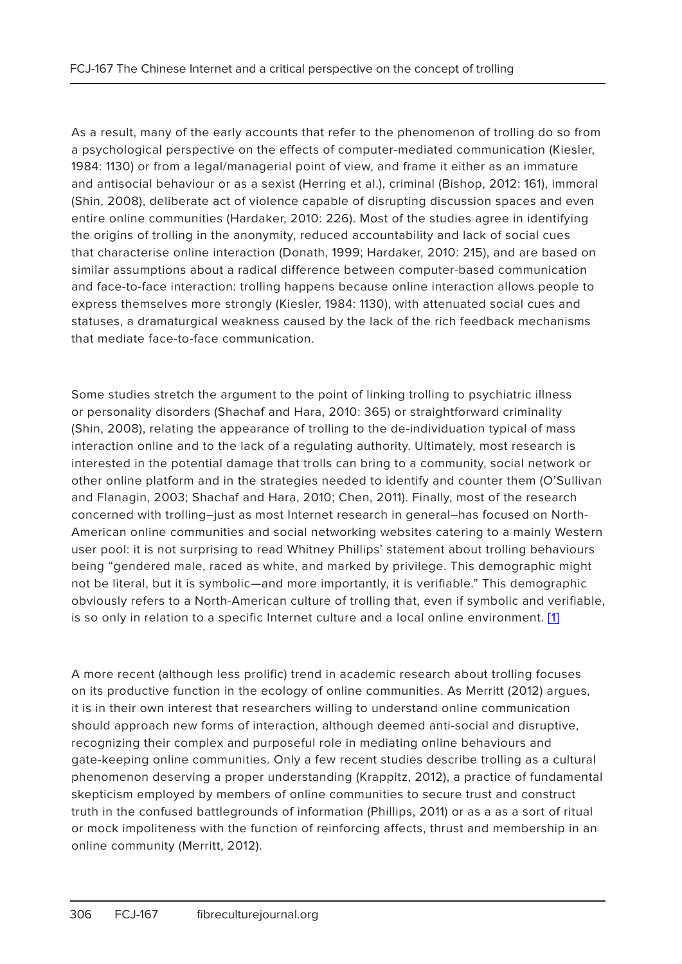As a result, many of the early accounts that refer to the phenomenon of trolling do so from a psychological perspective on the effects of computer-mediated communication (Kiesler, 1984: 1130) or from a legal/managerial point of view, and frame it either as an immature and antisocial behaviour or as a sexist (Herring et al.), criminal (Bishop, 2012: 161), immoral (Shin, 2008), deliberate act of violence capable of disrupting discussion spaces and even entire online communities (Hardaker, 2010: 226). Most of the studies agree in identifying the origins of trolling in the anonymity, reduced accountability and lack of social cues that characterise online interaction (Donath, 1999; Hardaker, 2010: 215), and are based on similar assumptions about a radical difference between computer-based communication and face-to-face interaction: trolling happens because online interaction allows people to express themselves more strongly (Kiesler, 1984: 1130), with attenuated social cues and statuses, a dramaturgical weakness caused by the lack of the rich feedback mechanisms that mediate face-to-face communication.

Some studies stretch the argument to the point of linking trolling to psychiatric illness or personality disorders (Shachaf and Hara, 2010: 365) or straightforward criminality (Shin, 2008), relating the appearance of trolling to the de-individuation typical of mass interaction online and to the lack of a regulating authority. Ultimately, most research is interested in the potential damage that trolls can bring to a community, social network or other online platform and in the strategies needed to identify and counter them (O'Sullivan and Flanagin, 2003; Shachaf and Hara, 2010; Chen, 2011). Finally, most of the research concerned with trolling–just as most Internet research in general–has focused on North-American online communities and social networking websites catering to a mainly Western user pool: it is not surprising to read Whitney Phillips' statement about trolling behaviours being "gendered male, raced as white, and marked by privilege. This demographic might not be literal, but it is symbolic—and more importantly, it is verifiable." This demographic obviously refers to a North-American culture of trolling that, even if symbolic and verifiable, is so only in relation to a specific Internet culture and a local online environment. [1]

A more recent (although less prolific) trend in academic research about trolling focuses on its productive function in the ecology of online communities. As Merritt (2012) argues, it is in their own interest that researchers willing to understand online communication should approach new forms of interaction, although deemed anti-social and disruptive, recognizing their complex and purposeful role in mediating online behaviours and gate-keeping online communities. Only a few recent studies describe trolling as a cultural phenomenon deserving a proper understanding (Krappitz, 2012), a practice of fundamental skepticism employed by members of online communities to secure trust and construct truth in the confused battlegrounds of information (Phillips, 2011) or as a as a sort of ritual or mock impoliteness with the function of reinforcing affects, thrust and membership in an online community (Merritt, 2012).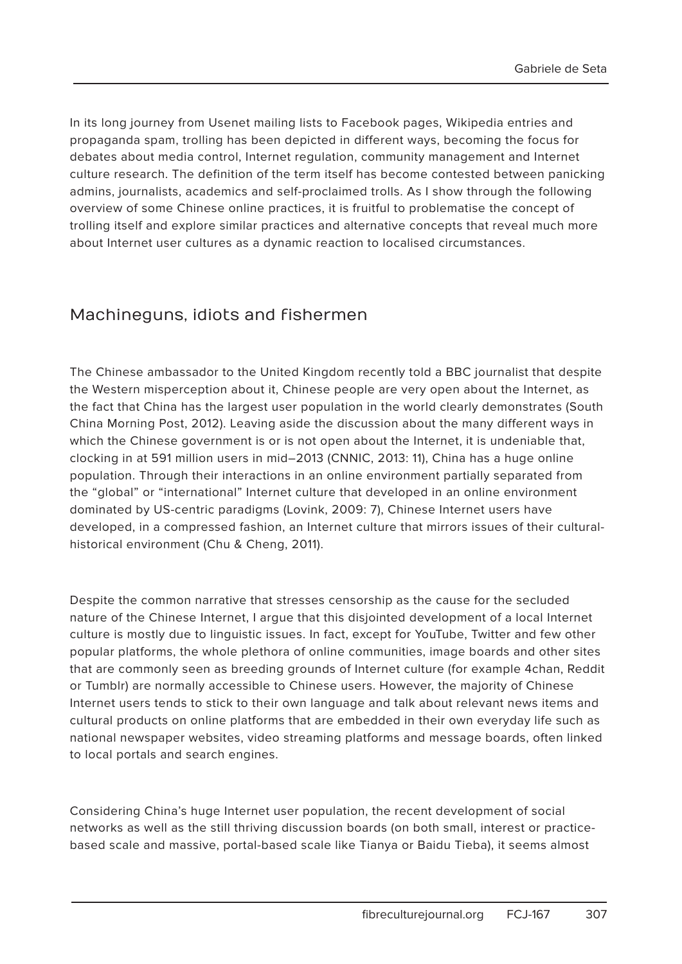In its long journey from Usenet mailing lists to Facebook pages, Wikipedia entries and propaganda spam, trolling has been depicted in different ways, becoming the focus for debates about media control, Internet regulation, community management and Internet culture research. The definition of the term itself has become contested between panicking admins, journalists, academics and self-proclaimed trolls. As I show through the following overview of some Chinese online practices, it is fruitful to problematise the concept of trolling itself and explore similar practices and alternative concepts that reveal much more about Internet user cultures as a dynamic reaction to localised circumstances.

### Machineguns, idiots and fishermen

The Chinese ambassador to the United Kingdom recently told a BBC journalist that despite the Western misperception about it, Chinese people are very open about the Internet, as the fact that China has the largest user population in the world clearly demonstrates (South China Morning Post, 2012). Leaving aside the discussion about the many different ways in which the Chinese government is or is not open about the Internet, it is undeniable that, clocking in at 591 million users in mid–2013 (CNNIC, 2013: 11), China has a huge online population. Through their interactions in an online environment partially separated from the "global" or "international" Internet culture that developed in an online environment dominated by US-centric paradigms (Lovink, 2009: 7), Chinese Internet users have developed, in a compressed fashion, an Internet culture that mirrors issues of their culturalhistorical environment (Chu & Cheng, 2011).

Despite the common narrative that stresses censorship as the cause for the secluded nature of the Chinese Internet, I argue that this disjointed development of a local Internet culture is mostly due to linguistic issues. In fact, except for YouTube, Twitter and few other popular platforms, the whole plethora of online communities, image boards and other sites that are commonly seen as breeding grounds of Internet culture (for example 4chan, Reddit or Tumblr) are normally accessible to Chinese users. However, the majority of Chinese Internet users tends to stick to their own language and talk about relevant news items and cultural products on online platforms that are embedded in their own everyday life such as national newspaper websites, video streaming platforms and message boards, often linked to local portals and search engines.

Considering China's huge Internet user population, the recent development of social networks as well as the still thriving discussion boards (on both small, interest or practicebased scale and massive, portal-based scale like Tianya or Baidu Tieba), it seems almost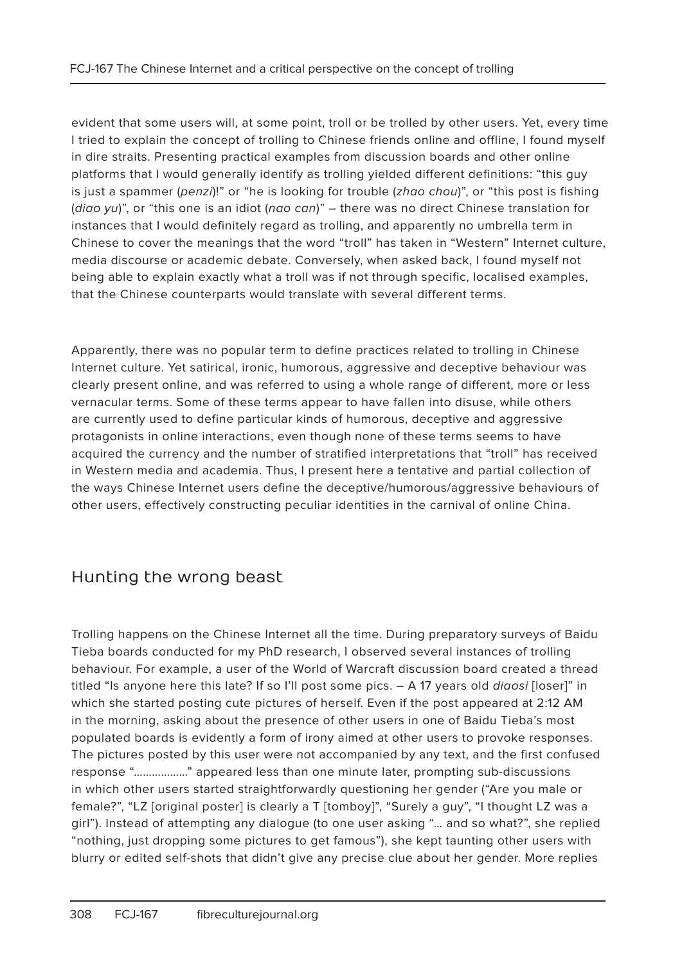evident that some users will, at some point, troll or be trolled by other users. Yet, every time I tried to explain the concept of trolling to Chinese friends online and offline, I found myself in dire straits. Presenting practical examples from discussion boards and other online platforms that I would generally identify as trolling yielded different definitions: "this guy is just a spammer (penzi)!" or "he is looking for trouble (zhao chou)", or "this post is fishing (diao yu)", or "this one is an idiot (nao can)" – there was no direct Chinese translation for instances that I would definitely regard as trolling, and apparently no umbrella term in Chinese to cover the meanings that the word "troll" has taken in "Western" Internet culture, media discourse or academic debate. Conversely, when asked back, I found myself not being able to explain exactly what a troll was if not through specific, localised examples, that the Chinese counterparts would translate with several different terms.

Apparently, there was no popular term to define practices related to trolling in Chinese Internet culture. Yet satirical, ironic, humorous, aggressive and deceptive behaviour was clearly present online, and was referred to using a whole range of different, more or less vernacular terms. Some of these terms appear to have fallen into disuse, while others are currently used to define particular kinds of humorous, deceptive and aggressive protagonists in online interactions, even though none of these terms seems to have acquired the currency and the number of stratified interpretations that "troll" has received in Western media and academia. Thus, I present here a tentative and partial collection of the ways Chinese Internet users define the deceptive/humorous/aggressive behaviours of other users, effectively constructing peculiar identities in the carnival of online China.

## Hunting the wrong beast

Trolling happens on the Chinese Internet all the time. During preparatory surveys of Baidu Tieba boards conducted for my PhD research, I observed several instances of trolling behaviour. For example, a user of the World of Warcraft discussion board created a thread titled "Is anyone here this late? If so I'll post some pics. - A 17 years old *diaosi* [loser]" in which she started posting cute pictures of herself. Even if the post appeared at 2:12 AM in the morning, asking about the presence of other users in one of Baidu Tieba's most populated boards is evidently a form of irony aimed at other users to provoke responses. The pictures posted by this user were not accompanied by any text, and the first confused response "………………" appeared less than one minute later, prompting sub-discussions in which other users started straightforwardly questioning her gender ("Are you male or female?", "LZ [original poster] is clearly a T [tomboy]", "Surely a guy", "I thought LZ was a girl"). Instead of attempting any dialogue (to one user asking "… and so what?", she replied "nothing, just dropping some pictures to get famous"), she kept taunting other users with blurry or edited self-shots that didn't give any precise clue about her gender. More replies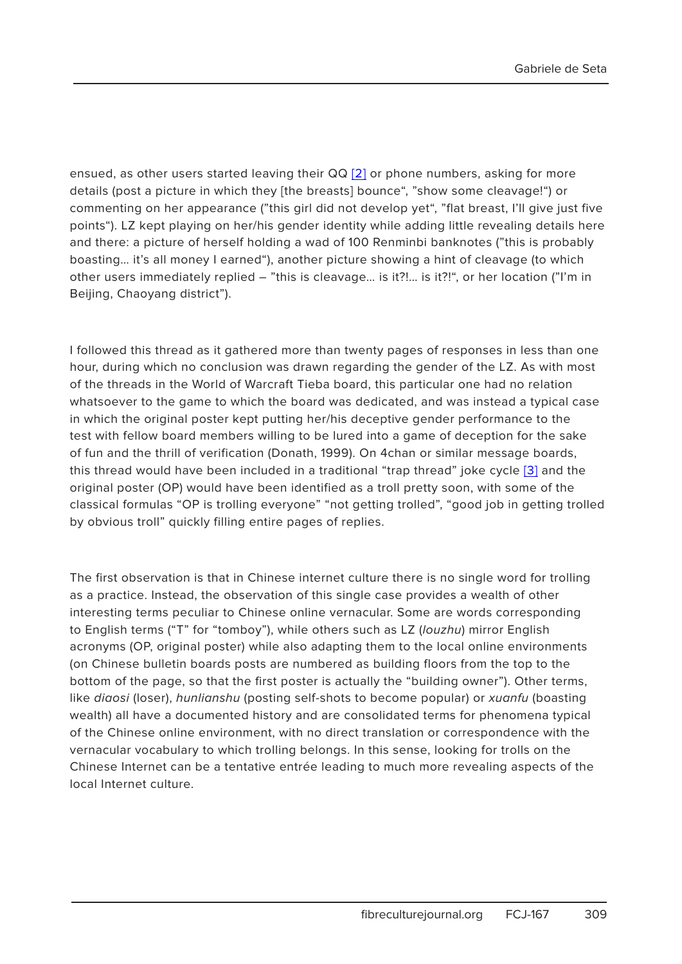ensued, as other users started leaving their QQ [2] or phone numbers, asking for more details (post a picture in which they [the breasts] bounce", "show some cleavage!") or commenting on her appearance ("this girl did not develop yet", "flat breast, I'll give just five points"). LZ kept playing on her/his gender identity while adding little revealing details here and there: a picture of herself holding a wad of 100 Renminbi banknotes ("this is probably boasting… it's all money I earned"), another picture showing a hint of cleavage (to which other users immediately replied – "this is cleavage… is it?!… is it?!", or her location ("I'm in Beijing, Chaoyang district").

I followed this thread as it gathered more than twenty pages of responses in less than one hour, during which no conclusion was drawn regarding the gender of the LZ. As with most of the threads in the World of Warcraft Tieba board, this particular one had no relation whatsoever to the game to which the board was dedicated, and was instead a typical case in which the original poster kept putting her/his deceptive gender performance to the test with fellow board members willing to be lured into a game of deception for the sake of fun and the thrill of verification (Donath, 1999). On 4chan or similar message boards, this thread would have been included in a traditional "trap thread" joke cycle [3] and the original poster (OP) would have been identified as a troll pretty soon, with some of the classical formulas "OP is trolling everyone" "not getting trolled", "good job in getting trolled by obvious troll" quickly filling entire pages of replies.

The first observation is that in Chinese internet culture there is no single word for trolling as a practice. Instead, the observation of this single case provides a wealth of other interesting terms peculiar to Chinese online vernacular. Some are words corresponding to English terms ("T" for "tomboy"), while others such as LZ (louzhu) mirror English acronyms (OP, original poster) while also adapting them to the local online environments (on Chinese bulletin boards posts are numbered as building floors from the top to the bottom of the page, so that the first poster is actually the "building owner"). Other terms, like diaosi (loser), hunlianshu (posting self-shots to become popular) or xuanfu (boasting wealth) all have a documented history and are consolidated terms for phenomena typical of the Chinese online environment, with no direct translation or correspondence with the vernacular vocabulary to which trolling belongs. In this sense, looking for trolls on the Chinese Internet can be a tentative entrée leading to much more revealing aspects of the local Internet culture.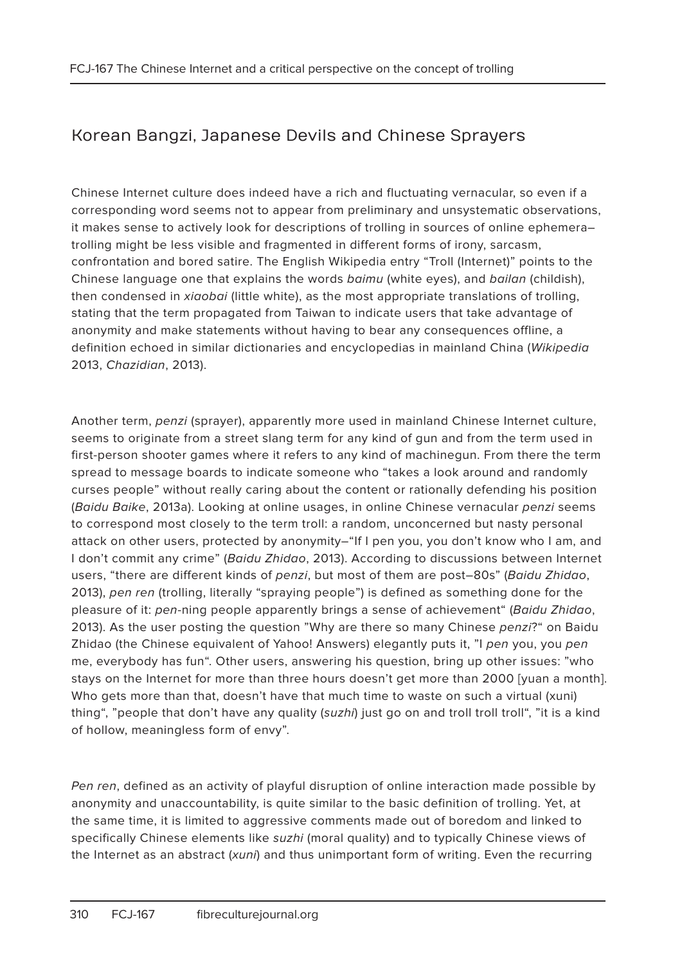# Korean Bangzi, Japanese Devils and Chinese Sprayers

Chinese Internet culture does indeed have a rich and fluctuating vernacular, so even if a corresponding word seems not to appear from preliminary and unsystematic observations, it makes sense to actively look for descriptions of trolling in sources of online ephemera– trolling might be less visible and fragmented in different forms of irony, sarcasm, confrontation and bored satire. The English Wikipedia entry "Troll (Internet)" points to the Chinese language one that explains the words baimu (white eyes), and bailan (childish), then condensed in xiaobai (little white), as the most appropriate translations of trolling, stating that the term propagated from Taiwan to indicate users that take advantage of anonymity and make statements without having to bear any consequences offline, a definition echoed in similar dictionaries and encyclopedias in mainland China (Wikipedia 2013, Chazidian, 2013).

Another term, penzi (sprayer), apparently more used in mainland Chinese Internet culture, seems to originate from a street slang term for any kind of gun and from the term used in first-person shooter games where it refers to any kind of machinegun. From there the term spread to message boards to indicate someone who "takes a look around and randomly curses people" without really caring about the content or rationally defending his position (Baidu Baike, 2013a). Looking at online usages, in online Chinese vernacular penzi seems to correspond most closely to the term troll: a random, unconcerned but nasty personal attack on other users, protected by anonymity–"If I pen you, you don't know who I am, and I don't commit any crime" (Baidu Zhidao, 2013). According to discussions between Internet users, "there are different kinds of penzi, but most of them are post-80s" (Baidu Zhidao, 2013), pen ren (trolling, literally "spraying people") is defined as something done for the pleasure of it: pen-ning people apparently brings a sense of achievement" (Baidu Zhidao, 2013). As the user posting the question "Why are there so many Chinese penzi?" on Baidu Zhidao (the Chinese equivalent of Yahoo! Answers) elegantly puts it, "I pen you, you pen me, everybody has fun". Other users, answering his question, bring up other issues: "who stays on the Internet for more than three hours doesn't get more than 2000 [yuan a month]. Who gets more than that, doesn't have that much time to waste on such a virtual (xuni) thing", "people that don't have any quality (suzhi) just go on and troll troll troll", "it is a kind of hollow, meaningless form of envy".

Pen ren, defined as an activity of playful disruption of online interaction made possible by anonymity and unaccountability, is quite similar to the basic definition of trolling. Yet, at the same time, it is limited to aggressive comments made out of boredom and linked to specifically Chinese elements like suzhi (moral quality) and to typically Chinese views of the Internet as an abstract (xuni) and thus unimportant form of writing. Even the recurring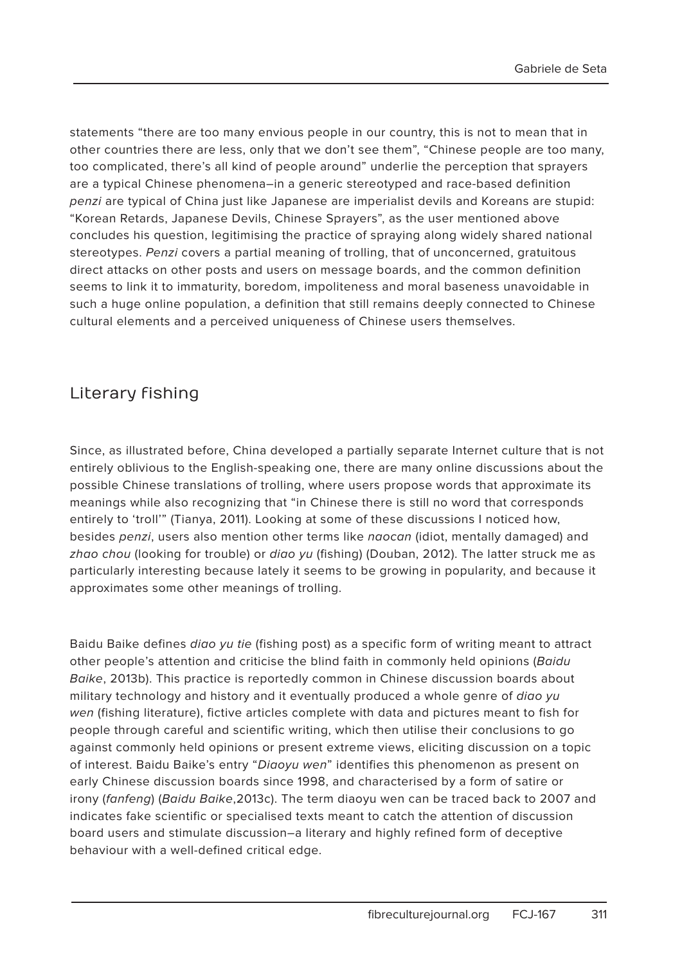statements "there are too many envious people in our country, this is not to mean that in other countries there are less, only that we don't see them", "Chinese people are too many, too complicated, there's all kind of people around" underlie the perception that sprayers are a typical Chinese phenomena–in a generic stereotyped and race-based definition penzi are typical of China just like Japanese are imperialist devils and Koreans are stupid: "Korean Retards, Japanese Devils, Chinese Sprayers", as the user mentioned above concludes his question, legitimising the practice of spraying along widely shared national stereotypes. Penzi covers a partial meaning of trolling, that of unconcerned, gratuitous direct attacks on other posts and users on message boards, and the common definition seems to link it to immaturity, boredom, impoliteness and moral baseness unavoidable in such a huge online population, a definition that still remains deeply connected to Chinese cultural elements and a perceived uniqueness of Chinese users themselves.

### Literary fishing

Since, as illustrated before, China developed a partially separate Internet culture that is not entirely oblivious to the English-speaking one, there are many online discussions about the possible Chinese translations of trolling, where users propose words that approximate its meanings while also recognizing that "in Chinese there is still no word that corresponds entirely to 'troll'" (Tianya, 2011). Looking at some of these discussions I noticed how, besides penzi, users also mention other terms like naocan (idiot, mentally damaged) and zhao chou (looking for trouble) or diao yu (fishing) (Douban, 2012). The latter struck me as particularly interesting because lately it seems to be growing in popularity, and because it approximates some other meanings of trolling.

Baidu Baike defines *diao yu tie* (fishing post) as a specific form of writing meant to attract other people's attention and criticise the blind faith in commonly held opinions (Baidu Baike, 2013b). This practice is reportedly common in Chinese discussion boards about military technology and history and it eventually produced a whole genre of *digo yu* wen (fishing literature), fictive articles complete with data and pictures meant to fish for people through careful and scientific writing, which then utilise their conclusions to go against commonly held opinions or present extreme views, eliciting discussion on a topic of interest. Baidu Baike's entry "Diaoyu wen" identifies this phenomenon as present on early Chinese discussion boards since 1998, and characterised by a form of satire or irony (fanfeng) (Baidu Baike, 2013c). The term diaoyu wen can be traced back to 2007 and indicates fake scientific or specialised texts meant to catch the attention of discussion board users and stimulate discussion–a literary and highly refined form of deceptive behaviour with a well-defined critical edge.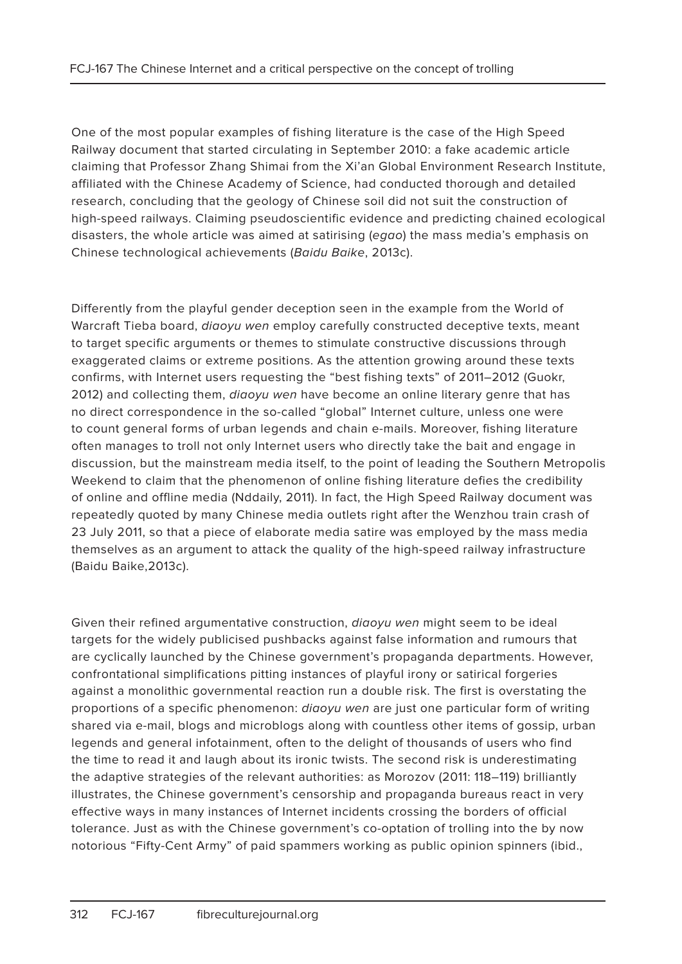One of the most popular examples of fishing literature is the case of the High Speed Railway document that started circulating in September 2010: a fake academic article claiming that Professor Zhang Shimai from the Xi'an Global Environment Research Institute, affiliated with the Chinese Academy of Science, had conducted thorough and detailed research, concluding that the geology of Chinese soil did not suit the construction of high-speed railways. Claiming pseudoscientific evidence and predicting chained ecological disasters, the whole article was aimed at satirising (egao) the mass media's emphasis on Chinese technological achievements (Baidu Baike, 2013c).

Differently from the playful gender deception seen in the example from the World of Warcraft Tieba board, *diaoyu wen* employ carefully constructed deceptive texts, meant to target specific arguments or themes to stimulate constructive discussions through exaggerated claims or extreme positions. As the attention growing around these texts confirms, with Internet users requesting the "best fishing texts" of 2011–2012 (Guokr, 2012) and collecting them, *diaoyu wen* have become an online literary genre that has no direct correspondence in the so-called "global" Internet culture, unless one were to count general forms of urban legends and chain e-mails. Moreover, fishing literature often manages to troll not only Internet users who directly take the bait and engage in discussion, but the mainstream media itself, to the point of leading the Southern Metropolis Weekend to claim that the phenomenon of online fishing literature defies the credibility of online and offline media (Nddaily, 2011). In fact, the High Speed Railway document was repeatedly quoted by many Chinese media outlets right after the Wenzhou train crash of 23 July 2011, so that a piece of elaborate media satire was employed by the mass media themselves as an argument to attack the quality of the high-speed railway infrastructure (Baidu Baike,2013c).

Given their refined argumentative construction, *digoyu wen* might seem to be ideal targets for the widely publicised pushbacks against false information and rumours that are cyclically launched by the Chinese government's propaganda departments. However, confrontational simplifications pitting instances of playful irony or satirical forgeries against a monolithic governmental reaction run a double risk. The first is overstating the proportions of a specific phenomenon: diaoyu wen are just one particular form of writing shared via e-mail, blogs and microblogs along with countless other items of gossip, urban legends and general infotainment, often to the delight of thousands of users who find the time to read it and laugh about its ironic twists. The second risk is underestimating the adaptive strategies of the relevant authorities: as Morozov (2011: 118–119) brilliantly illustrates, the Chinese government's censorship and propaganda bureaus react in very effective ways in many instances of Internet incidents crossing the borders of official tolerance. Just as with the Chinese government's co-optation of trolling into the by now notorious "Fifty-Cent Army" of paid spammers working as public opinion spinners (ibid.,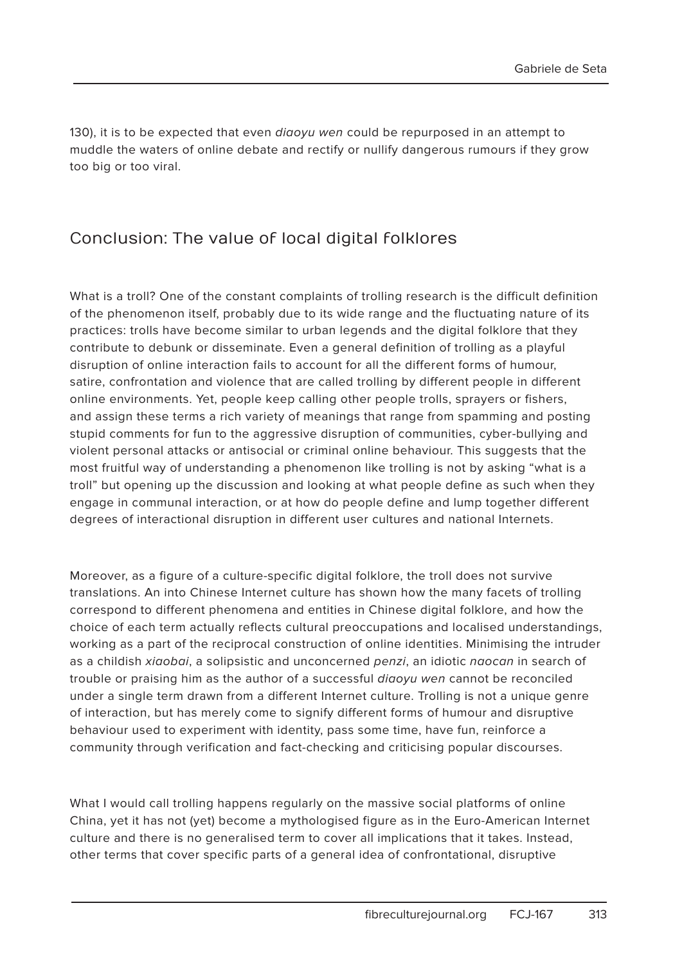130), it is to be expected that even *digoyu wen* could be repurposed in an attempt to muddle the waters of online debate and rectify or nullify dangerous rumours if they grow too big or too viral.

#### Conclusion: The value of local digital folklores

What is a troll? One of the constant complaints of trolling research is the difficult definition of the phenomenon itself, probably due to its wide range and the fluctuating nature of its practices: trolls have become similar to urban legends and the digital folklore that they contribute to debunk or disseminate. Even a general definition of trolling as a playful disruption of online interaction fails to account for all the different forms of humour, satire, confrontation and violence that are called trolling by different people in different online environments. Yet, people keep calling other people trolls, sprayers or fishers, and assign these terms a rich variety of meanings that range from spamming and posting stupid comments for fun to the aggressive disruption of communities, cyber-bullying and violent personal attacks or antisocial or criminal online behaviour. This suggests that the most fruitful way of understanding a phenomenon like trolling is not by asking "what is a troll" but opening up the discussion and looking at what people define as such when they engage in communal interaction, or at how do people define and lump together different degrees of interactional disruption in different user cultures and national Internets.

Moreover, as a figure of a culture-specific digital folklore, the troll does not survive translations. An into Chinese Internet culture has shown how the many facets of trolling correspond to different phenomena and entities in Chinese digital folklore, and how the choice of each term actually reflects cultural preoccupations and localised understandings, working as a part of the reciprocal construction of online identities. Minimising the intruder as a childish xiaobai, a solipsistic and unconcerned penzi, an idiotic naocan in search of trouble or praising him as the author of a successful diaoyu wen cannot be reconciled under a single term drawn from a different Internet culture. Trolling is not a unique genre of interaction, but has merely come to signify different forms of humour and disruptive behaviour used to experiment with identity, pass some time, have fun, reinforce a community through verification and fact-checking and criticising popular discourses.

What I would call trolling happens regularly on the massive social platforms of online China, yet it has not (yet) become a mythologised figure as in the Euro-American Internet culture and there is no generalised term to cover all implications that it takes. Instead, other terms that cover specific parts of a general idea of confrontational, disruptive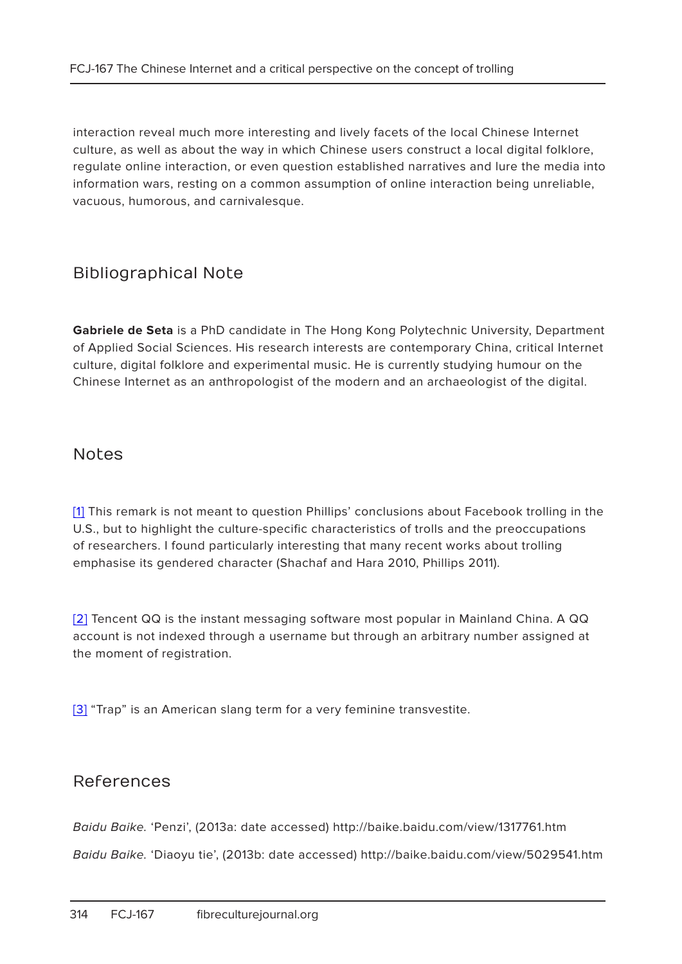interaction reveal much more interesting and lively facets of the local Chinese Internet culture, as well as about the way in which Chinese users construct a local digital folklore, regulate online interaction, or even question established narratives and lure the media into information wars, resting on a common assumption of online interaction being unreliable, vacuous, humorous, and carnivalesque.

#### Bibliographical Note

**Gabriele de Seta** is a PhD candidate in The Hong Kong Polytechnic University, Department of Applied Social Sciences. His research interests are contemporary China, critical Internet culture, digital folklore and experimental music. He is currently studying humour on the Chinese Internet as an anthropologist of the modern and an archaeologist of the digital.

#### Notes

[1] This remark is not meant to question Phillips' conclusions about Facebook trolling in the U.S., but to highlight the culture-specific characteristics of trolls and the preoccupations of researchers. I found particularly interesting that many recent works about trolling emphasise its gendered character (Shachaf and Hara 2010, Phillips 2011).

[2] Tencent QQ is the instant messaging software most popular in Mainland China. A QQ account is not indexed through a username but through an arbitrary number assigned at the moment of registration.

[3] "Trap" is an American slang term for a very feminine transvestite.

#### References

Baidu Baike. 'Penzi', (2013a: date accessed) http://baike.baidu.com/view/1317761.htm

Baidu Baike. 'Diaoyu tie', (2013b: date accessed) http://baike.baidu.com/view/5029541.htm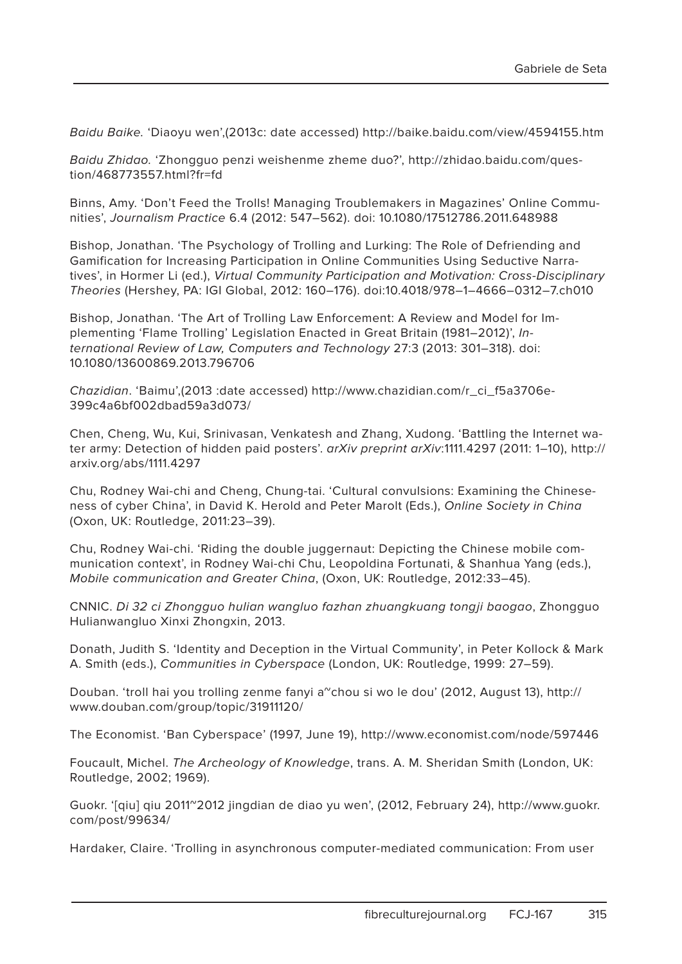Baidu Baike. 'Diaoyu wen',(2013c: date accessed) http://baike.baidu.com/view/4594155.htm

Baidu Zhidao. 'Zhongguo penzi weishenme zheme duo?', http://zhidao.baidu.com/question/468773557.html?fr=fd

Binns, Amy. 'Don't Feed the Trolls! Managing Troublemakers in Magazines' Online Communities', Journalism Practice 6.4 (2012: 547–562). doi: 10.1080/17512786.2011.648988

Bishop, Jonathan. 'The Psychology of Trolling and Lurking: The Role of Defriending and Gamification for Increasing Participation in Online Communities Using Seductive Narratives', in Hormer Li (ed.), Virtual Community Participation and Motivation: Cross-Disciplinary Theories (Hershey, PA: IGI Global, 2012: 160–176). doi:10.4018/978–1–4666–0312–7.ch010

Bishop, Jonathan. 'The Art of Trolling Law Enforcement: A Review and Model for Implementing 'Flame Trolling' Legislation Enacted in Great Britain (1981–2012)', International Review of Law, Computers and Technology 27:3 (2013: 301–318). doi: 10.1080/13600869.2013.796706

Chazidian. 'Baimu',(2013 :date accessed) http://www.chazidian.com/r\_ci\_f5a3706e-399c4a6bf002dbad59a3d073/

Chen, Cheng, Wu, Kui, Srinivasan, Venkatesh and Zhang, Xudong. 'Battling the Internet water army: Detection of hidden paid posters'. arXiv preprint arXiv:1111.4297 (2011: 1-10), http:// arxiv.org/abs/1111.4297

Chu, Rodney Wai-chi and Cheng, Chung-tai. 'Cultural convulsions: Examining the Chineseness of cyber China', in David K. Herold and Peter Marolt (Eds.), Online Society in China (Oxon, UK: Routledge, 2011:23–39).

Chu, Rodney Wai-chi. 'Riding the double juggernaut: Depicting the Chinese mobile communication context', in Rodney Wai-chi Chu, Leopoldina Fortunati, & Shanhua Yang (eds.), Mobile communication and Greater China, (Oxon, UK: Routledge, 2012:33–45).

CNNIC. Di 32 ci Zhongguo hulian wangluo fazhan zhuangkuang tongji baogao, Zhongguo Hulianwangluo Xinxi Zhongxin, 2013.

Donath, Judith S. 'Identity and Deception in the Virtual Community', in Peter Kollock & Mark A. Smith (eds.), Communities in Cyberspace (London, UK: Routledge, 1999: 27–59).

Douban. 'troll hai you trolling zenme fanyi a"chou si wo le dou' (2012, August 13), http:// www.douban.com/group/topic/31911120/

The Economist. 'Ban Cyberspace' (1997, June 19), http://www.economist.com/node/597446

Foucault, Michel. The Archeology of Knowledge, trans. A. M. Sheridan Smith (London, UK: Routledge, 2002; 1969).

Guokr. '[qiu] qiu 2011~2012 jingdian de diao yu wen', (2012, February 24), http://www.guokr. com/post/99634/

Hardaker, Claire. 'Trolling in asynchronous computer-mediated communication: From user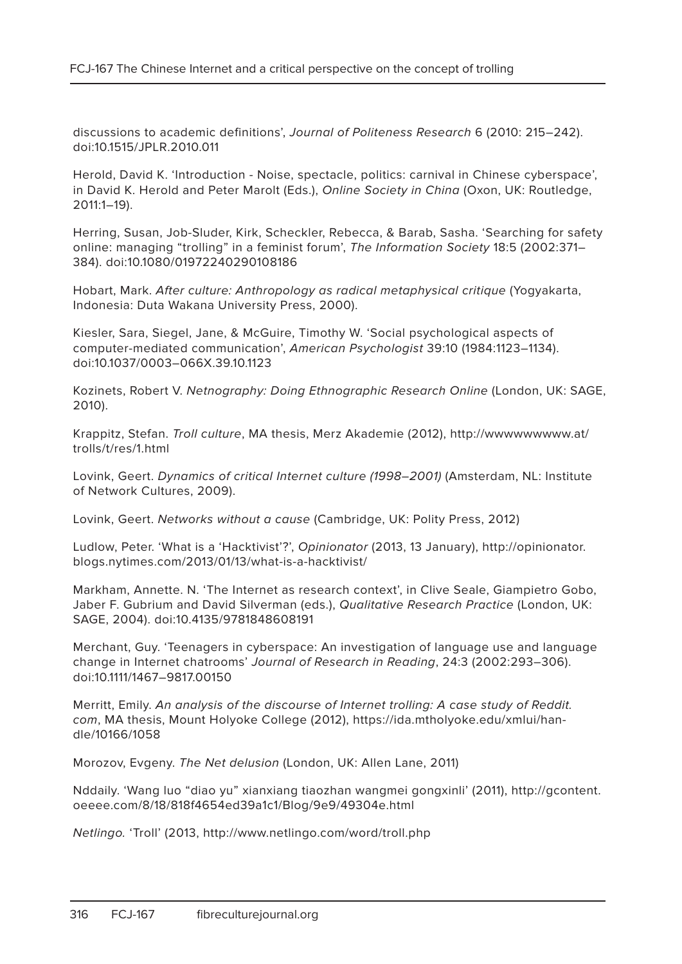discussions to academic definitions', Journal of Politeness Research 6 (2010: 215–242). doi:10.1515/JPLR.2010.011

Herold, David K. 'Introduction - Noise, spectacle, politics: carnival in Chinese cyberspace', in David K. Herold and Peter Marolt (Eds.), Online Society in China (Oxon, UK: Routledge, 2011:1–19).

Herring, Susan, Job-Sluder, Kirk, Scheckler, Rebecca, & Barab, Sasha. 'Searching for safety online: managing "trolling" in a feminist forum', The Information Society 18:5 (2002:371– 384). doi:10.1080/01972240290108186

Hobart, Mark. After culture: Anthropology as radical metaphysical critique (Yogyakarta, Indonesia: Duta Wakana University Press, 2000).

Kiesler, Sara, Siegel, Jane, & McGuire, Timothy W. 'Social psychological aspects of computer-mediated communication', American Psychologist 39:10 (1984:1123–1134). doi:10.1037/0003–066X.39.10.1123

Kozinets, Robert V. Netnography: Doing Ethnographic Research Online (London, UK: SAGE, 2010).

Krappitz, Stefan. Troll culture, MA thesis, Merz Akademie (2012), http://wwwwwwwww.at/ trolls/t/res/1.html

Lovink, Geert. Dynamics of critical Internet culture (1998–2001) (Amsterdam, NL: Institute of Network Cultures, 2009).

Lovink, Geert. Networks without a cause (Cambridge, UK: Polity Press, 2012)

Ludlow, Peter. 'What is a 'Hacktivist'?', Opinionator (2013, 13 January), http://opinionator. blogs.nytimes.com/2013/01/13/what-is-a-hacktivist/

Markham, Annette. N. 'The Internet as research context', in Clive Seale, Giampietro Gobo, Jaber F. Gubrium and David Silverman (eds.), Qualitative Research Practice (London, UK: SAGE, 2004). doi:10.4135/9781848608191

Merchant, Guy. 'Teenagers in cyberspace: An investigation of language use and language change in Internet chatrooms' Journal of Research in Reading, 24:3 (2002:293–306). doi:10.1111/1467–9817.00150

Merritt, Emily. An analysis of the discourse of Internet trolling: A case study of Reddit. com, MA thesis, Mount Holyoke College (2012), https://ida.mtholyoke.edu/xmlui/handle/10166/1058

Morozov, Evgeny. The Net delusion (London, UK: Allen Lane, 2011)

Nddaily. 'Wang luo "diao yu" xianxiang tiaozhan wangmei gongxinli' (2011), http://gcontent. oeeee.com/8/18/818f4654ed39a1c1/Blog/9e9/49304e.html

Netlingo. 'Troll' (2013, http://www.netlingo.com/word/troll.php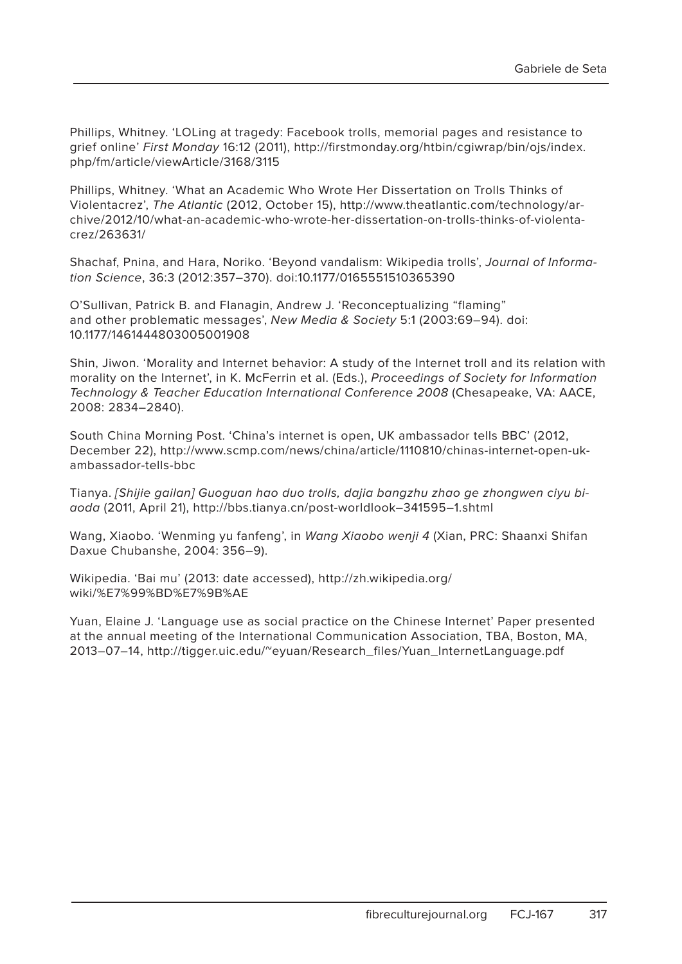Phillips, Whitney. 'LOLing at tragedy: Facebook trolls, memorial pages and resistance to grief online' First Monday 16:12 (2011), http://firstmonday.org/htbin/cgiwrap/bin/ojs/index. php/fm/article/viewArticle/3168/3115

Phillips, Whitney. 'What an Academic Who Wrote Her Dissertation on Trolls Thinks of Violentacrez', The Atlantic (2012, October 15), http://www.theatlantic.com/technology/archive/2012/10/what-an-academic-who-wrote-her-dissertation-on-trolls-thinks-of-violentacrez/263631/

Shachaf, Pnina, and Hara, Noriko. 'Beyond vandalism: Wikipedia trolls', Journal of Information Science, 36:3 (2012:357–370). doi:10.1177/0165551510365390

O'Sullivan, Patrick B. and Flanagin, Andrew J. 'Reconceptualizing "flaming" and other problematic messages', New Media & Society 5:1 (2003:69–94). doi: 10.1177/1461444803005001908

Shin, Jiwon. 'Morality and Internet behavior: A study of the Internet troll and its relation with morality on the Internet', in K. McFerrin et al. (Eds.), Proceedings of Society for Information Technology & Teacher Education International Conference 2008 (Chesapeake, VA: AACE, 2008: 2834–2840).

South China Morning Post. 'China's internet is open, UK ambassador tells BBC' (2012, December 22), http://www.scmp.com/news/china/article/1110810/chinas-internet-open-ukambassador-tells-bbc

Tianya. [Shijie gailan] Guoguan hao duo trolls, dajia bangzhu zhao ge zhongwen ciyu biaoda (2011, April 21), http://bbs.tianya.cn/post-worldlook–341595–1.shtml

Wang, Xiaobo. 'Wenming yu fanfeng', in Wang Xiaobo wenji 4 (Xian, PRC: Shaanxi Shifan Daxue Chubanshe, 2004: 356–9).

Wikipedia. 'Bai mu' (2013: date accessed), http://zh.wikipedia.org/ wiki/%E7%99%BD%E7%9B%AE

Yuan, Elaine J. 'Language use as social practice on the Chinese Internet' Paper presented at the annual meeting of the International Communication Association, TBA, Boston, MA, 2013–07–14, http://tigger.uic.edu/~eyuan/Research\_files/Yuan\_InternetLanguage.pdf